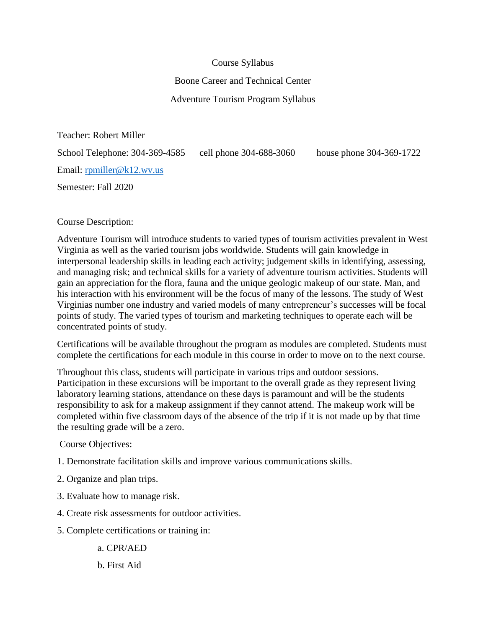## Course Syllabus

## Boone Career and Technical Center

# Adventure Tourism Program Syllabus

Teacher: Robert Miller

School Telephone: 304-369-4585 cell phone 304-688-3060 house phone 304-369-1722 Email: [rpmiller@k12.wv.us](mailto:rpmiller@k12.wv.us)

Semester: Fall 2020

# Course Description:

Adventure Tourism will introduce students to varied types of tourism activities prevalent in West Virginia as well as the varied tourism jobs worldwide. Students will gain knowledge in interpersonal leadership skills in leading each activity; judgement skills in identifying, assessing, and managing risk; and technical skills for a variety of adventure tourism activities. Students will gain an appreciation for the flora, fauna and the unique geologic makeup of our state. Man, and his interaction with his environment will be the focus of many of the lessons. The study of West Virginias number one industry and varied models of many entrepreneur's successes will be focal points of study. The varied types of tourism and marketing techniques to operate each will be concentrated points of study.

Certifications will be available throughout the program as modules are completed. Students must complete the certifications for each module in this course in order to move on to the next course.

Throughout this class, students will participate in various trips and outdoor sessions. Participation in these excursions will be important to the overall grade as they represent living laboratory learning stations, attendance on these days is paramount and will be the students responsibility to ask for a makeup assignment if they cannot attend. The makeup work will be completed within five classroom days of the absence of the trip if it is not made up by that time the resulting grade will be a zero.

#### Course Objectives:

- 1. Demonstrate facilitation skills and improve various communications skills.
- 2. Organize and plan trips.
- 3. Evaluate how to manage risk.
- 4. Create risk assessments for outdoor activities.
- 5. Complete certifications or training in:

a. CPR/AED

## b. First Aid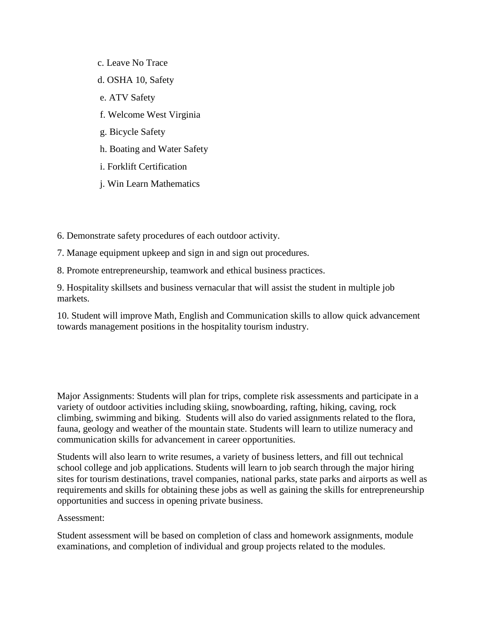- c. Leave No Trace
- d. OSHA 10, Safety
- e. ATV Safety
- f. Welcome West Virginia
- g. Bicycle Safety
- h. Boating and Water Safety
- i. Forklift Certification
- j. Win Learn Mathematics
- 6. Demonstrate safety procedures of each outdoor activity.
- 7. Manage equipment upkeep and sign in and sign out procedures.
- 8. Promote entrepreneurship, teamwork and ethical business practices.

9. Hospitality skillsets and business vernacular that will assist the student in multiple job markets.

10. Student will improve Math, English and Communication skills to allow quick advancement towards management positions in the hospitality tourism industry.

Major Assignments: Students will plan for trips, complete risk assessments and participate in a variety of outdoor activities including skiing, snowboarding, rafting, hiking, caving, rock climbing, swimming and biking. Students will also do varied assignments related to the flora, fauna, geology and weather of the mountain state. Students will learn to utilize numeracy and communication skills for advancement in career opportunities.

Students will also learn to write resumes, a variety of business letters, and fill out technical school college and job applications. Students will learn to job search through the major hiring sites for tourism destinations, travel companies, national parks, state parks and airports as well as requirements and skills for obtaining these jobs as well as gaining the skills for entrepreneurship opportunities and success in opening private business.

#### Assessment:

Student assessment will be based on completion of class and homework assignments, module examinations, and completion of individual and group projects related to the modules.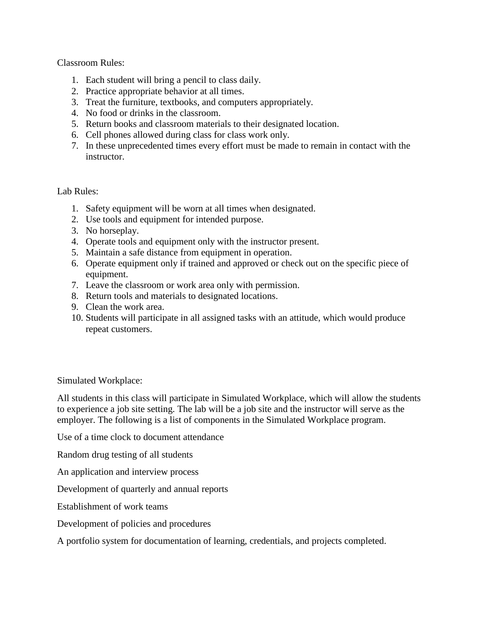Classroom Rules:

- 1. Each student will bring a pencil to class daily.
- 2. Practice appropriate behavior at all times.
- 3. Treat the furniture, textbooks, and computers appropriately.
- 4. No food or drinks in the classroom.
- 5. Return books and classroom materials to their designated location.
- 6. Cell phones allowed during class for class work only.
- 7. In these unprecedented times every effort must be made to remain in contact with the instructor.

#### Lab Rules:

- 1. Safety equipment will be worn at all times when designated.
- 2. Use tools and equipment for intended purpose.
- 3. No horseplay.
- 4. Operate tools and equipment only with the instructor present.
- 5. Maintain a safe distance from equipment in operation.
- 6. Operate equipment only if trained and approved or check out on the specific piece of equipment.
- 7. Leave the classroom or work area only with permission.
- 8. Return tools and materials to designated locations.
- 9. Clean the work area.
- 10. Students will participate in all assigned tasks with an attitude, which would produce repeat customers.

Simulated Workplace:

All students in this class will participate in Simulated Workplace, which will allow the students to experience a job site setting. The lab will be a job site and the instructor will serve as the employer. The following is a list of components in the Simulated Workplace program.

Use of a time clock to document attendance

Random drug testing of all students

An application and interview process

Development of quarterly and annual reports

Establishment of work teams

Development of policies and procedures

A portfolio system for documentation of learning, credentials, and projects completed.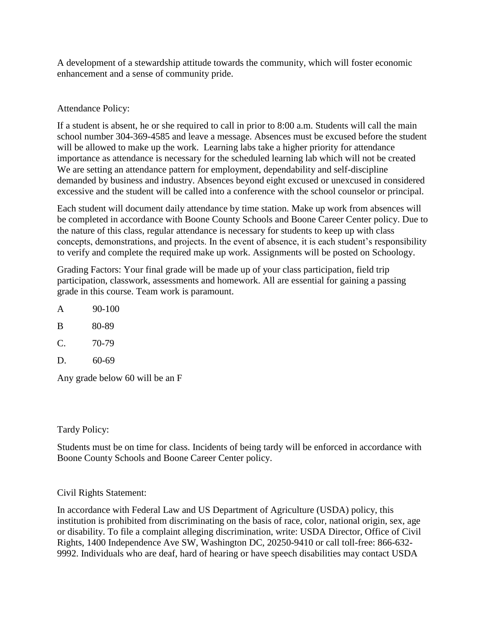A development of a stewardship attitude towards the community, which will foster economic enhancement and a sense of community pride.

Attendance Policy:

If a student is absent, he or she required to call in prior to 8:00 a.m. Students will call the main school number 304-369-4585 and leave a message. Absences must be excused before the student will be allowed to make up the work. Learning labs take a higher priority for attendance importance as attendance is necessary for the scheduled learning lab which will not be created We are setting an attendance pattern for employment, dependability and self-discipline demanded by business and industry. Absences beyond eight excused or unexcused in considered excessive and the student will be called into a conference with the school counselor or principal.

Each student will document daily attendance by time station. Make up work from absences will be completed in accordance with Boone County Schools and Boone Career Center policy. Due to the nature of this class, regular attendance is necessary for students to keep up with class concepts, demonstrations, and projects. In the event of absence, it is each student's responsibility to verify and complete the required make up work. Assignments will be posted on Schoology.

Grading Factors: Your final grade will be made up of your class participation, field trip participation, classwork, assessments and homework. All are essential for gaining a passing grade in this course. Team work is paramount.

- A 90-100
- B 80-89
- $C. 70-79$
- D. 60-69

Any grade below 60 will be an F

#### Tardy Policy:

Students must be on time for class. Incidents of being tardy will be enforced in accordance with Boone County Schools and Boone Career Center policy.

# Civil Rights Statement:

In accordance with Federal Law and US Department of Agriculture (USDA) policy, this institution is prohibited from discriminating on the basis of race, color, national origin, sex, age or disability. To file a complaint alleging discrimination, write: USDA Director, Office of Civil Rights, 1400 Independence Ave SW, Washington DC, 20250-9410 or call toll-free: 866-632- 9992. Individuals who are deaf, hard of hearing or have speech disabilities may contact USDA